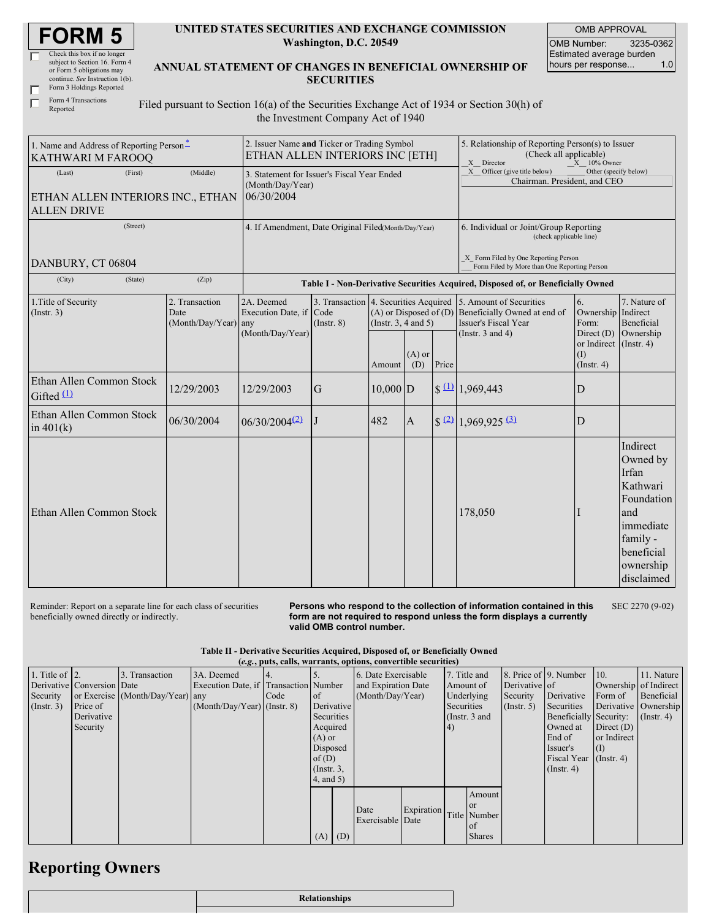| <b>FORM 5</b> |
|---------------|
|---------------|

| Check this box if no longer     |
|---------------------------------|
| subject to Section 16. Form 4   |
| or Form 5 obligations may       |
| continue. See Instruction 1(b). |
| Form 3 Holdings Reported        |
|                                 |

Form 4 Transactions Reported

г

## **UNITED STATES SECURITIES AND EXCHANGE COMMISSION Washington, D.C. 20549**

OMB APPROVAL OMB Number: 3235-0362 Estimated average burden hours per response... 1.0

**ANNUAL STATEMENT OF CHANGES IN BENEFICIAL OWNERSHIP OF SECURITIES**

Filed pursuant to Section 16(a) of the Securities Exchange Act of 1934 or Section 30(h) of the Investment Company Act of 1940

| 1. Name and Address of Reporting Person*<br><b>KATHWARI M FAROOQ</b>         | 2. Issuer Name and Ticker or Trading Symbol<br>ETHAN ALLEN INTERIORS INC [ETH]                              |                             |                 |                                                        |                 | 5. Relationship of Reporting Person(s) to Issuer<br>(Check all applicable)<br>X Director<br>$X = 10\%$ Owner |                                                                                                                                                       |                                                                             |                                                                                                                                  |
|------------------------------------------------------------------------------|-------------------------------------------------------------------------------------------------------------|-----------------------------|-----------------|--------------------------------------------------------|-----------------|--------------------------------------------------------------------------------------------------------------|-------------------------------------------------------------------------------------------------------------------------------------------------------|-----------------------------------------------------------------------------|----------------------------------------------------------------------------------------------------------------------------------|
| (First)<br>(Last)<br>ETHAN ALLEN INTERIORS INC., ETHAN<br><b>ALLEN DRIVE</b> | 3. Statement for Issuer's Fiscal Year Ended<br>(Month/Day/Year)<br>06/30/2004                               |                             |                 |                                                        |                 | X Officer (give title below)<br>Other (specify below)<br>Chairman. President, and CEO                        |                                                                                                                                                       |                                                                             |                                                                                                                                  |
| (Street)<br>DANBURY, CT 06804                                                | 4. If Amendment, Date Original Filed(Month/Day/Year)                                                        |                             |                 |                                                        |                 | 6. Individual or Joint/Group Reporting<br>(check applicable line)<br>X Form Filed by One Reporting Person    |                                                                                                                                                       |                                                                             |                                                                                                                                  |
| (City)<br>(State)                                                            | (Zip)                                                                                                       |                             |                 |                                                        |                 |                                                                                                              | Form Filed by More than One Reporting Person<br>Table I - Non-Derivative Securities Acquired, Disposed of, or Beneficially Owned                      |                                                                             |                                                                                                                                  |
| 1. Title of Security<br>(Insert. 3)                                          | 2. Transaction<br>2A. Deemed<br>Execution Date, if Code<br>Date<br>(Month/Day/Year) any<br>(Month/Day/Year) |                             | $($ Instr. $8)$ | $(A)$ or Disposed of $(D)$<br>(Instr. $3, 4$ and $5$ ) |                 |                                                                                                              | 3. Transaction 4. Securities Acquired 5. Amount of Securities<br>Beneficially Owned at end of<br><b>Issuer's Fiscal Year</b><br>(Instr. $3$ and $4$ ) | 6.<br>Ownership Indirect<br>Form:<br>Direct $(D)$<br>or Indirect (Instr. 4) | 7. Nature of<br>Beneficial<br>Ownership                                                                                          |
|                                                                              |                                                                                                             |                             |                 | Amount                                                 | $(A)$ or<br>(D) | Price                                                                                                        |                                                                                                                                                       | (I)<br>$($ Instr. 4 $)$                                                     |                                                                                                                                  |
| Ethan Allen Common Stock<br>Gifted $(1)$                                     | 12/29/2003                                                                                                  | 12/29/2003                  | G               | $10,000$ D                                             |                 |                                                                                                              | $\frac{10}{1,969,443}$                                                                                                                                | D                                                                           |                                                                                                                                  |
| Ethan Allen Common Stock<br>in $401(k)$                                      | 06/30/2004                                                                                                  | $06/30/2004$ <sup>(2)</sup> |                 | 482                                                    | $\mathbf{A}$    |                                                                                                              | $\frac{22}{1,969,925}$ (3)                                                                                                                            | D                                                                           |                                                                                                                                  |
| Ethan Allen Common Stock                                                     |                                                                                                             |                             |                 |                                                        |                 |                                                                                                              | 178,050                                                                                                                                               | I                                                                           | Indirect<br>Owned by<br>Irfan<br>Kathwari<br>Foundation<br>and<br>immediate<br>family -<br>beneficial<br>ownership<br>disclaimed |

Reminder: Report on a separate line for each class of securities beneficially owned directly or indirectly.

**Persons who respond to the collection of information contained in this form are not required to respond unless the form displays a currently valid OMB control number.** SEC 2270 (9-02)

|  |  |  | Table II - Derivative Securities Acquired, Disposed of, or Beneficially Owned |  |
|--|--|--|-------------------------------------------------------------------------------|--|
|  |  |  |                                                                               |  |

|                    | (e.g., puts, calls, warrants, options, convertible securities) |                                  |                                       |      |                  |     |                     |            |            |                 |               |                        |                       |               |
|--------------------|----------------------------------------------------------------|----------------------------------|---------------------------------------|------|------------------|-----|---------------------|------------|------------|-----------------|---------------|------------------------|-----------------------|---------------|
| 1. Title of $ 2$ . |                                                                | 3. Transaction                   | 3A. Deemed                            |      |                  |     | 6. Date Exercisable |            |            | 7. Title and    |               | 8. Price of 9. Number  | 10.                   | 11. Nature    |
|                    | Derivative   Conversion   Date                                 |                                  | Execution Date, if Transaction Number |      |                  |     | and Expiration Date |            |            | Amount of       | Derivative of |                        | Ownership of Indirect |               |
| Security           |                                                                | or Exercise (Month/Day/Year) any |                                       | Code | of               |     | (Month/Day/Year)    |            |            | Underlying      | Security      | Derivative             | Form of               | Beneficial    |
| $($ Instr. 3 $)$   | Price of                                                       |                                  | $(Month/Day/Year)$ (Instr. 8)         |      | Derivative       |     |                     |            | Securities |                 | (Insert, 5)   | Securities             | Derivative Ownership  |               |
|                    | Derivative                                                     |                                  |                                       |      | Securities       |     |                     |            |            | (Instr. $3$ and |               | Beneficially Security: |                       | $($ Instr. 4) |
|                    | Security                                                       |                                  |                                       |      | Acquired         |     |                     |            | (4)        |                 |               | Owned at               | Direct $(D)$          |               |
|                    |                                                                |                                  |                                       |      | $(A)$ or         |     |                     |            |            |                 |               | End of                 | or Indirect           |               |
|                    |                                                                |                                  |                                       |      | Disposed         |     |                     |            |            |                 |               | Issuer's               | (I)                   |               |
|                    |                                                                |                                  |                                       |      | of $(D)$         |     |                     |            |            |                 |               | <b>Fiscal Year</b>     | $($ Instr. 4)         |               |
|                    |                                                                |                                  |                                       |      | $($ Instr. $3$ , |     |                     |            |            |                 |               | $($ Instr. 4 $)$       |                       |               |
|                    |                                                                |                                  |                                       |      | $4$ , and $5$ )  |     |                     |            |            |                 |               |                        |                       |               |
|                    |                                                                |                                  |                                       |      |                  |     |                     |            |            | Amount          |               |                        |                       |               |
|                    |                                                                |                                  |                                       |      |                  |     |                     |            |            | <sub>or</sub>   |               |                        |                       |               |
|                    |                                                                |                                  |                                       |      |                  |     | Date                | Expiration |            | Title Number    |               |                        |                       |               |
|                    |                                                                |                                  |                                       |      |                  |     | Exercisable Date    |            |            | of              |               |                        |                       |               |
|                    |                                                                |                                  |                                       |      | (A)              | (D) |                     |            |            | <b>Shares</b>   |               |                        |                       |               |

## **Reporting Owners**

|  | <b>Relationships</b> |
|--|----------------------|
|  |                      |